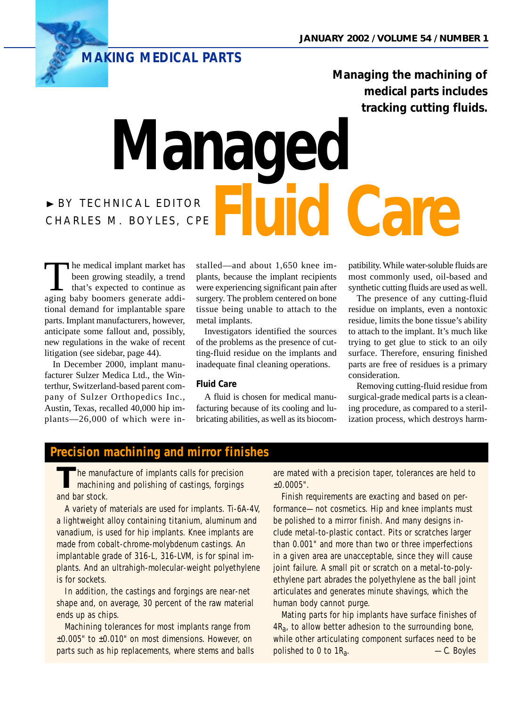

**Managing the machining of medical parts includes tracking cutting fluids.**

# ❿ BY TECHNICAL EDITOR **CHARLES M. BOYLES, CPE FLUID Care Managed**

The medical implant market has<br>been growing steadily, a trend<br>that's expected to continue as<br>aging haby boomers generate addibeen growing steadily, a trend that's expected to continue as aging baby boomers generate additional demand for implantable spare parts. Implant manufacturers, however, anticipate some fallout and, possibly, new regulations in the wake of recent litigation (see sidebar, page 44).

In December 2000, implant manufacturer Sulzer Medica Ltd., the Winterthur, Switzerland-based parent company of Sulzer Orthopedics Inc., Austin, Texas, recalled 40,000 hip implants—26,000 of which were installed—and about 1,650 knee implants, because the implant recipients were experiencing significant pain after surgery. The problem centered on bone tissue being unable to attach to the metal implants.

Investigators identified the sources of the problems as the presence of cutting-fluid residue on the implants and inadequate final cleaning operations.

## **Fluid Care**

A fluid is chosen for medical manufacturing because of its cooling and lubricating abilities, as well as its biocompatibility. While water-soluble fluids are most commonly used, oil-based and synthetic cutting fluids are used as well.

The presence of any cutting-fluid residue on implants, even a nontoxic residue, limits the bone tissue's ability to attach to the implant. It's much like trying to get glue to stick to an oily surface. Therefore, ensuring finished parts are free of residues is a primary consideration.

Removing cutting-fluid residue from surgical-grade medical parts is a cleaning procedure, as compared to a sterilization process, which destroys harm-

## **Precision machining and mirror finishes**

he manufacture of implants calls for precision machining and polishing of castings, forgings and bar stock.

A variety of materials are used for implants. Ti-6A-4V, a lightweight alloy containing titanium, aluminum and vanadium, is used for hip implants. Knee implants are made from cobalt-chrome-molybdenum castings. An implantable grade of 316-L, 316-LVM, is for spinal implants. And an ultrahigh-molecular-weight polyethylene is for sockets.

In addition, the castings and forgings are near-net shape and, on average, 30 percent of the raw material ends up as chips.

Machining tolerances for most implants range from ±0.005" to ±0.010" on most dimensions. However, on parts such as hip replacements, where stems and balls are mated with a precision taper, tolerances are held to ±0.0005".

Finish requirements are exacting and based on performance—not cosmetics. Hip and knee implants must be polished to a mirror finish. And many designs include metal-to-plastic contact. Pits or scratches larger than 0.001" and more than two or three imperfections in a given area are unacceptable, since they will cause joint failure. A small pit or scratch on a metal-to-polyethylene part abrades the polyethylene as the ball joint articulates and generates minute shavings, which the human body cannot purge.

Mating parts for hip implants have surface finishes of  $4R_a$ , to allow better adhesion to the surrounding bone, while other articulating component surfaces need to be polished to 0 to 1Ra. *—C. Boyles*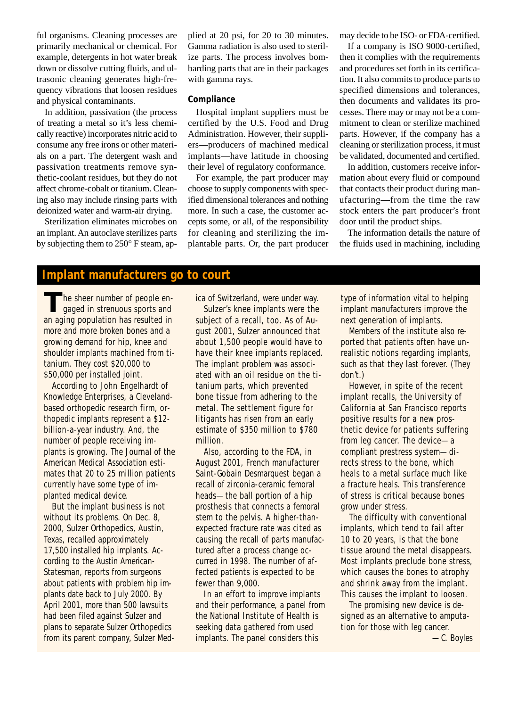ful organisms. Cleaning processes are primarily mechanical or chemical. For example, detergents in hot water break down or dissolve cutting fluids, and ultrasonic cleaning generates high-frequency vibrations that loosen residues and physical contaminants.

In addition, passivation (the process of treating a metal so it's less chemically reactive) incorporates nitric acid to consume any free irons or other materials on a part. The detergent wash and passivation treatments remove synthetic-coolant residues, but they do not affect chrome-cobalt or titanium. Cleaning also may include rinsing parts with deionized water and warm-air drying.

Sterilization eliminates microbes on an implant. An autoclave sterilizes parts by subjecting them to 250° F steam, applied at 20 psi, for 20 to 30 minutes. Gamma radiation is also used to sterilize parts. The process involves bombarding parts that are in their packages with gamma rays.

#### **Compliance**

Hospital implant suppliers must be certified by the U.S. Food and Drug Administration. However, their suppliers—producers of machined medical implants—have latitude in choosing their level of regulatory conformance.

For example, the part producer may choose to supply components with specified dimensional tolerances and nothing more. In such a case, the customer accepts some, or all, of the responsibility for cleaning and sterilizing the implantable parts. Or, the part producer may decide to be ISO- or FDA-certified.

If a company is ISO 9000-certified, then it complies with the requirements and procedures set forth in its certification. It also commits to produce parts to specified dimensions and tolerances, then documents and validates its processes. There may or may not be a commitment to clean or sterilize machined parts. However, if the company has a cleaning or sterilization process, it must be validated, documented and certified.

In addition, customers receive information about every fluid or compound that contacts their product during manufacturing—from the time the raw stock enters the part producer's front door until the product ships.

The information details the nature of the fluids used in machining, including

## **Implant manufacturers go to court**

**T**he sheer number of people engaged in strenuous sports and an aging population has resulted in more and more broken bones and a growing demand for hip, knee and shoulder implants machined from titanium. They cost \$20,000 to \$50,000 per installed joint.

According to John Engelhardt of Knowledge Enterprises, a Clevelandbased orthopedic research firm, orthopedic implants represent a \$12 billion-a-year industry. And, the number of people receiving implants is growing. *The Journal of the American Medical Association* estimates that 20 to 25 million patients currently have some type of implanted medical device.

But the implant business is not without its problems. On Dec. 8, 2000, Sulzer Orthopedics, Austin, Texas, recalled approximately 17,500 installed hip implants. According to the *Austin American-Statesman*, reports from surgeons about patients with problem hip implants date back to July 2000. By April 2001, more than 500 lawsuits had been filed against Sulzer and plans to separate Sulzer Orthopedics from its parent company, Sulzer Medica of Switzerland, were under way.

Sulzer's knee implants were the subject of a recall, too. As of August 2001, Sulzer announced that about 1,500 people would have to have their knee implants replaced. The implant problem was associated with an oil residue on the titanium parts, which prevented bone tissue from adhering to the metal. The settlement figure for litigants has risen from an early estimate of \$350 million to \$780 million.

Also, according to the FDA, in August 2001, French manufacturer Saint-Gobain Desmarquest began a recall of zirconia-ceramic femoral heads—the ball portion of a hip prosthesis that connects a femoral stem to the pelvis. A higher-thanexpected fracture rate was cited as causing the recall of parts manufactured after a process change occurred in 1998. The number of affected patients is expected to be fewer than 9,000.

In an effort to improve implants and their performance, a panel from the National Institute of Health is seeking data gathered from used implants. The panel considers this

type of information vital to helping implant manufacturers improve the next generation of implants.

Members of the institute also reported that patients often have unrealistic notions regarding implants, such as that they last forever. (They don't.)

However, in spite of the recent implant recalls, the University of California at San Francisco reports positive results for a new prosthetic device for patients suffering from leg cancer. The device—a compliant prestress system—directs stress to the bone, which heals to a metal surface much like a fracture heals. This transference of stress is critical because bones grow under stress.

The difficulty with conventional implants, which tend to fail after 10 to 20 years, is that the bone tissue around the metal disappears. Most implants preclude bone stress, which causes the bones to atrophy and shrink away from the implant. This causes the implant to loosen.

The promising new device is designed as an alternative to amputation for those with leg cancer.